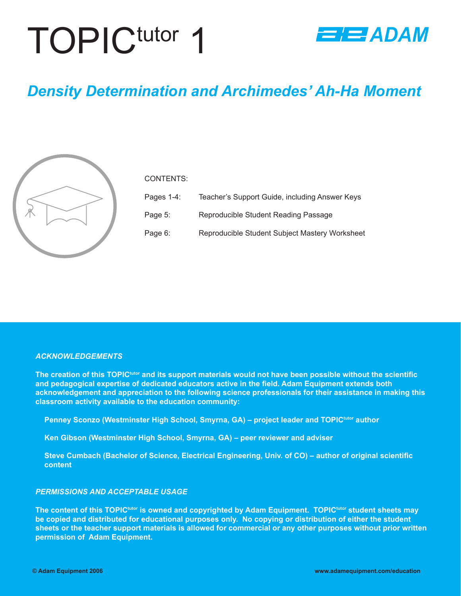# TOPICtutor 1



## *Density Determination and Archimedes' Ah-Ha Moment*



#### CONTENTS:

| Pages $1-4$ : | Teacher's Support Guide, including Answer Keys |
|---------------|------------------------------------------------|
| Page 5:       | Reproducible Student Reading Passage           |
| Page 6:       | Reproducible Student Subject Mastery Worksheet |

#### *ACKNOWLEDGEMENTS*

The creation of this TOPIC<sup>tutor</sup> and its support materials would not have been possible without the scientific and pedagogical expertise of dedicated educators active in the field. Adam Equipment extends both **acknowledgement and appreciation to the following science professionals for their assistance in making this classroom activity available to the education community:** 

**Penney Sconzo (Westminster High School, Smyrna, GA) – project leader and TOPICtutor author**

**Ken Gibson (Westminster High School, Smyrna, GA) – peer reviewer and adviser**

**Steve Cumbach (Bachelor of Science, Electrical Engineering, Univ. of CO) – author of original scientific content**

#### *PERMISSIONS AND ACCEPTABLE USAGE*

**The content of this TOPICtutor is owned and copyrighted by Adam Equipment. TOPICtutor student sheets may be copied and distributed for educational purposes only. No copying or distribution of either the student sheets or the teacher support materials is allowed for commercial or any other purposes without prior written permission of Adam Equipment.**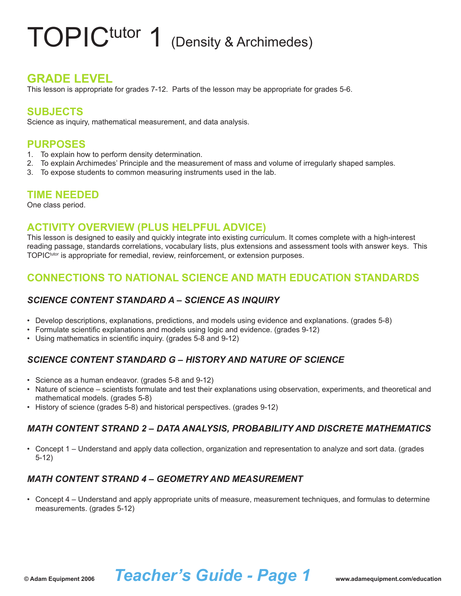# TOPIC<sup>tutor</sup> 1 (Density & Archimedes)

### **GRADE LEVEL**

This lesson is appropriate for grades 7-12. Parts of the lesson may be appropriate for grades 5-6.

#### **SUBJECTS**

Science as inquiry, mathematical measurement, and data analysis.

#### **PURPOSES**

- 1. To explain how to perform density determination.
- 2. To explain Archimedes' Principle and the measurement of mass and volume of irregularly shaped samples.
- To expose students to common measuring instruments used in the lab. 3.

#### **TIME NEEDED**

One class period.

#### **ACTIVITY OVERVIEW (PLUS HELPFUL ADVICE)**

This lesson is designed to easily and quickly integrate into existing curriculum. It comes complete with a high-interest reading passage, standards correlations, vocabulary lists, plus extensions and assessment tools with answer keys. This TOPIC<sup>tutor</sup> is appropriate for remedial, review, reinforcement, or extension purposes.

### **CONNECTIONS TO NATIONAL SCIENCE AND MATH EDUCATION STANDARDS**

#### *SCIENCE CONTENT STANDARD A – SCIENCE AS INQUIRY*

- Develop descriptions, explanations, predictions, and models using evidence and explanations. (grades 5-8) •
- Formulate scientific explanations and models using logic and evidence. (grades 9-12) •
- Using mathematics in scientific inquiry. (grades 5-8 and 9-12) •

#### *SCIENCE CONTENT STANDARD G – HISTORY AND NATURE OF SCIENCE*

- Science as a human endeavor. (grades 5-8 and 9-12)
- Nature of science scientists formulate and test their explanations using observation, experiments, and theoretical and mathematical models. (grades 5-8)
- History of science (grades 5-8) and historical perspectives. (grades 9-12)

#### *MATH CONTENT STRAND 2 – DATA ANALYSIS, PROBABILITY AND DISCRETE MATHEMATICS*

Concept 1 – Understand and apply data collection, organization and representation to analyze and sort data. (grades • 5-12)

#### *MATH CONTENT STRAND 4 – GEOMETRY AND MEASUREMENT*

Concept 4 – Understand and apply appropriate units of measure, measurement techniques, and formulas to determine • measurements. (grades 5-12)

## **© Adam Equipment 2006** *Teacher's Guide - Page 1* **www.adamequipment.com/education**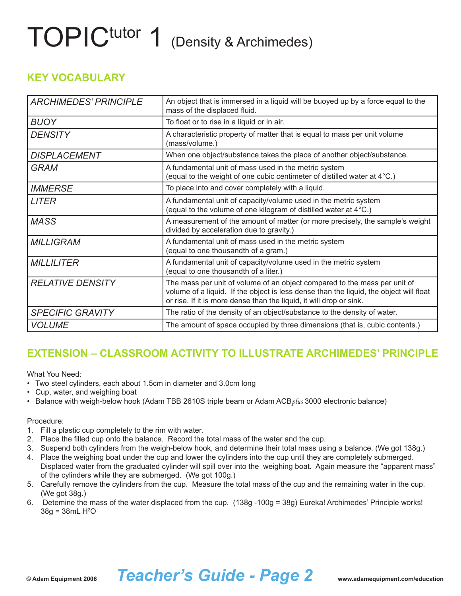# TOPICtutor 1 (Density & Archimedes)

### **KEY VOCABULARY**

| <b>ARCHIMEDES' PRINCIPLE</b> | An object that is immersed in a liquid will be buoyed up by a force equal to the<br>mass of the displaced fluid.                                                                                                                           |
|------------------------------|--------------------------------------------------------------------------------------------------------------------------------------------------------------------------------------------------------------------------------------------|
| <b>BUOY</b>                  | To float or to rise in a liquid or in air.                                                                                                                                                                                                 |
| <b>DENSITY</b>               | A characteristic property of matter that is equal to mass per unit volume<br>(mass/volume.)                                                                                                                                                |
| <b>DISPLACEMENT</b>          | When one object/substance takes the place of another object/substance.                                                                                                                                                                     |
| <b>GRAM</b>                  | A fundamental unit of mass used in the metric system<br>(equal to the weight of one cubic centimeter of distilled water at 4°C.)                                                                                                           |
| <b>IMMERSE</b>               | To place into and cover completely with a liquid.                                                                                                                                                                                          |
| <b>LITER</b>                 | A fundamental unit of capacity/volume used in the metric system<br>(equal to the volume of one kilogram of distilled water at 4°C.)                                                                                                        |
| <b>MASS</b>                  | A measurement of the amount of matter (or more precisely, the sample's weight<br>divided by acceleration due to gravity.)                                                                                                                  |
| <b>MILLIGRAM</b>             | A fundamental unit of mass used in the metric system<br>(equal to one thousandth of a gram.)                                                                                                                                               |
| <b>MILLILITER</b>            | A fundamental unit of capacity/volume used in the metric system<br>(equal to one thousandth of a liter.)                                                                                                                                   |
| <b>RELATIVE DENSITY</b>      | The mass per unit of volume of an object compared to the mass per unit of<br>volume of a liquid. If the object is less dense than the liquid, the object will float<br>or rise. If it is more dense than the liquid, it will drop or sink. |
| <b>SPECIFIC GRAVITY</b>      | The ratio of the density of an object/substance to the density of water.                                                                                                                                                                   |
| <b>VOLUME</b>                | The amount of space occupied by three dimensions (that is, cubic contents.)                                                                                                                                                                |

## **EXTENSION – CLASSROOM ACTIVITY TO ILLUSTRATE ARCHIMEDES' PRINCIPLE**

What You Need:

- Two steel cylinders, each about 1.5cm in diameter and 3.0cm long •
- Cup, water, and weighing boat •
- Balance with weigh-below hook (Adam TBB 2610S triple beam or Adam ACB*plus* 3000 electronic balance) •

#### Procedure:

- Fill a plastic cup completely to the rim with water. 1.
- Place the filled cup onto the balance. Record the total mass of the water and the cup. 2.
- 3. Suspend both cylinders from the weigh-below hook, and determine their total mass using a balance. (We got 138g.)
- Place the weighing boat under the cup and lower the cylinders into the cup until they are completely submerged. 4. Displaced water from the graduated cylinder will spill over into the weighing boat. Again measure the "apparent mass" of the cylinders while they are submerged. (We got 100g.)
- Carefully remove the cylinders from the cup. Measure the total mass of the cup and the remaining water in the cup. 5. (We got 38g.)
- Detemine the mass of the water displaced from the cup. (138g -100g = 38g) Eureka! Archimedes' Principle works! 6. 38g = 38mL H<del>'</del>O

## **© Adam Equipment 2006** *Teacher's Guide - Page 2* **www.adamequipment.com/education**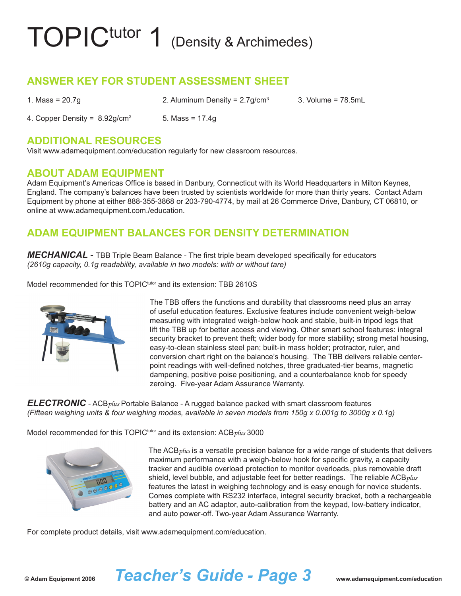# TOPIC<sup>tutor</sup> 1 (Density & Archimedes)

### **ANSWER KEY FOR STUDENT ASSESSMENT SHEET**

| 1. Mass = $20.7g$                            | 2. Aluminum Density = $2.7$ g/cm <sup>3</sup> | 3. Volume = 78.5mL |
|----------------------------------------------|-----------------------------------------------|--------------------|
| 4. Copper Density = $8.92$ g/cm <sup>3</sup> | 5. Mass = 17.4g                               |                    |

#### **ADDITIONAL RESOURCES**

Visit www.adamequipment.com/education regularly for new classroom resources.

#### **ABOUT ADAM EQUIPMENT**

Adam Equipment's Americas Office is based in Danbury, Connecticut with its World Headquarters in Milton Keynes, England. The company's balances have been trusted by scientists worldwide for more than thirty years. Contact Adam Equipment by phone at either 888-355-3868 or 203-790-4774, by mail at 26 Commerce Drive, Danbury, CT 06810, or online at www.adamequipment.com./education.

### **ADAM EQUIPMENT BALANCES FOR DENSITY DETERMINATION**

*MECHANICAL* - TBB Triple Beam Balance - The first triple beam developed specifically for educators *(2610g capacity, 0.1g readability, available in two models: with or without tare)*

Model recommended for this TOPIC<sup>tutor</sup> and its extension: TBB 2610S



The TBB offers the functions and durability that classrooms need plus an array of useful education features. Exclusive features include convenient weigh-below measuring with integrated weigh-below hook and stable, built-in tripod legs that lift the TBB up for better access and viewing. Other smart school features: integral security bracket to prevent theft; wider body for more stability; strong metal housing, easy-to-clean stainless steel pan; built-in mass holder; protractor, ruler, and conversion chart right on the balance's housing. The TBB delivers reliable centerpoint readings with well-defined notches, three graduated-tier beams, magnetic dampening, positive poise positioning, and a counterbalance knob for speedy zeroing. Five-year Adam Assurance Warranty.

*ELECTRONIC* - ACB*plus* Portable Balance - A rugged balance packed with smart classroom features *(Fifteen weighing units & four weighing modes, available in seven models from 150g x 0.001g to 3000g x 0.1g)*

Model recommended for this TOPICtutor and its extension: ACB*plus* 3000



The ACB*plus* is a versatile precision balance for a wide range of students that delivers maximum performance with a weigh-below hook for specific gravity, a capacity tracker and audible overload protection to monitor overloads, plus removable draft shield, level bubble, and adjustable feet for better readings. The reliable ACB*plus* features the latest in weighing technology and is easy enough for novice students. Comes complete with RS232 interface, integral security bracket, both a rechargeable battery and an AC adaptor, auto-calibration from the keypad, low-battery indicator, and auto power-off. Two-year Adam Assurance Warranty.

For complete product details, visit www.adamequipment.com/education.

## **© Adam Equipment 2006** *Teacher's Guide - Page 3* **www.adamequipment.com/education**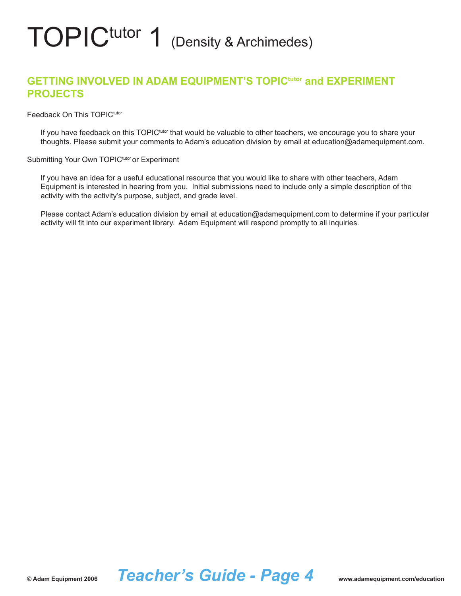# TOPIC<sup>tutor</sup> 1 (Density & Archimedes)

### **GETTING INVOLVED IN ADAM EQUIPMENT'S TOPICtutor and EXPERIMENT PROJECTS**

Feedback On This TOPIC<sup>tutor</sup>

If you have feedback on this TOPIC<sup>tutor</sup> that would be valuable to other teachers, we encourage you to share your thoughts. Please submit your comments to Adam's education division by email at education@adamequipment.com.

Submitting Your Own TOPIC<sup>tutor</sup> or Experiment

If you have an idea for a useful educational resource that you would like to share with other teachers, Adam Equipment is interested in hearing from you. Initial submissions need to include only a simple description of the activity with the activity's purpose, subject, and grade level.

Please contact Adam's education division by email at education@adamequipment.com to determine if your particular activity will fit into our experiment library. Adam Equipment will respond promptly to all inquiries.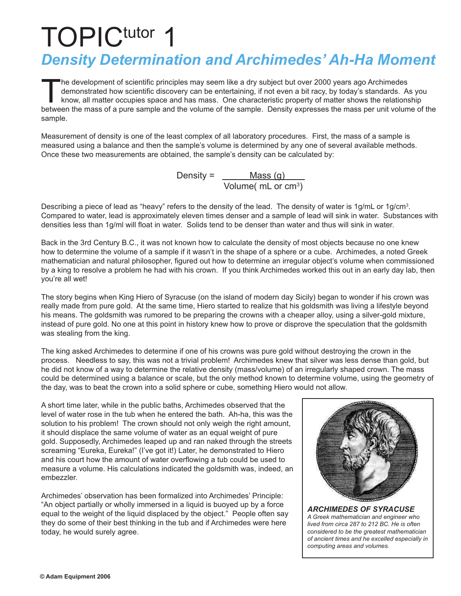## TOPIC<sup>tutor</sup> 1 *Density Determination and Archimedes' Ah-Ha Moment*

The development of scientific principles may seem like a dry subject but over 2000 years ago Archimedes demonstrated how scientific discovery can be entertaining, if not even a bit racy, by today's standards. As you know, all matter occupies space and has mass. One characteristic property of matter shows the relationship between the mass of a pure sample and the volume of the sample. Density expresses the mass per unit volume of the sample.

Measurement of density is one of the least complex of all laboratory procedures. First, the mass of a sample is measured using a balance and then the sample's volume is determined by any one of several available methods. Once these two measurements are obtained, the sample's density can be calculated by:

Density = <u>\_\_\_\_\_\_\_Mass (g)</u> Volume( mL or cm3 )

Describing a piece of lead as "heavy" refers to the density of the lead. The density of water is 1g/mL or 1g/cm<sup>3</sup>. Compared to water, lead is approximately eleven times denser and a sample of lead will sink in water. Substances with densities less than 1g/ml will float in water. Solids tend to be denser than water and thus will sink in water.

Back in the 3rd Century B.C., it was not known how to calculate the density of most objects because no one knew how to determine the volume of a sample if it wasn't in the shape of a sphere or a cube. Archimedes, a noted Greek mathematician and natural philosopher, figured out how to determine an irregular object's volume when commissioned by a king to resolve a problem he had with his crown. If you think Archimedes worked this out in an early day lab, then you're all wet!

The story begins when King Hiero of Syracuse (on the island of modern day Sicily) began to wonder if his crown was really made from pure gold. At the same time, Hiero started to realize that his goldsmith was living a lifestyle beyond his means. The goldsmith was rumored to be preparing the crowns with a cheaper alloy, using a silver-gold mixture, instead of pure gold. No one at this point in history knew how to prove or disprove the speculation that the goldsmith was stealing from the king.

The king asked Archimedes to determine if one of his crowns was pure gold without destroying the crown in the process. Needless to say, this was not a trivial problem! Archimedes knew that silver was less dense than gold, but he did not know of a way to determine the relative density (mass/volume) of an irregularly shaped crown. The mass could be determined using a balance or scale, but the only method known to determine volume, using the geometry of the day, was to beat the crown into a solid sphere or cube, something Hiero would not allow.

A short time later, while in the public baths, Archimedes observed that the level of water rose in the tub when he entered the bath. Ah-ha, this was the solution to his problem! The crown should not only weigh the right amount, it should displace the same volume of water as an equal weight of pure gold. Supposedly, Archimedes leaped up and ran naked through the streets screaming "Eureka, Eureka!" (I've got it!) Later, he demonstrated to Hiero and his court how the amount of water overflowing a tub could be used to measure a volume. His calculations indicated the goldsmith was, indeed, an embezzler.

Archimedes' observation has been formalized into Archimedes' Principle: "An object partially or wholly immersed in a liquid is buoyed up by a force equal to the weight of the liquid displaced by the object." People often say they do some of their best thinking in the tub and if Archimedes were here today, he would surely agree.



*ARCHIMEDES OF SYRACUSE A Greek mathematician and engineer who lived from circa 287 to 212 BC. He is often considered to be the greatest mathematician of ancient times and he excelled especially in computing areas and volumes.*